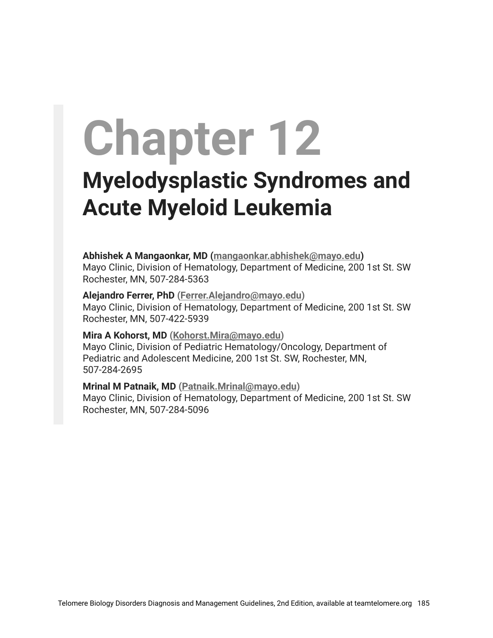# **Chapter 12**

## **Myelodysplastic Syndromes and Acute Myeloid Leukemia**

**Abhishek A Mangaonkar, MD ([mangaonkar.abhishek@mayo.edu\)](mailto:mangaonkar.abhishek@mayo.edu)** Mayo Clinic, Division of Hematology, Department of Medicine, 200 1st St. SW Rochester, MN, 507-284-5363

**Alejandro Ferrer, PhD [\(Ferrer.Alejandro@mayo.edu](mailto:Ferrer.Alejandro@mayo.edu))** Mayo Clinic, Division of Hematology, Department of Medicine, 200 1st St. SW Rochester, MN, 507-422-5939

#### **Mira A Kohorst, MD ([Kohorst.Mira@mayo.edu\)](mailto:Kohorst.Mira@mayo.edu)**

Mayo Clinic, Division of Pediatric Hematology/Oncology, Department of Pediatric and Adolescent Medicine, 200 1st St. SW, Rochester, MN, 507-284-2695

**Mrinal M Patnaik, MD ([Patnaik.Mrinal@mayo.edu](mailto:Patnaik.Mrinal@mayo.edu))**

Mayo Clinic, Division of Hematology, Department of Medicine, 200 1st St. SW Rochester, MN, 507-284-5096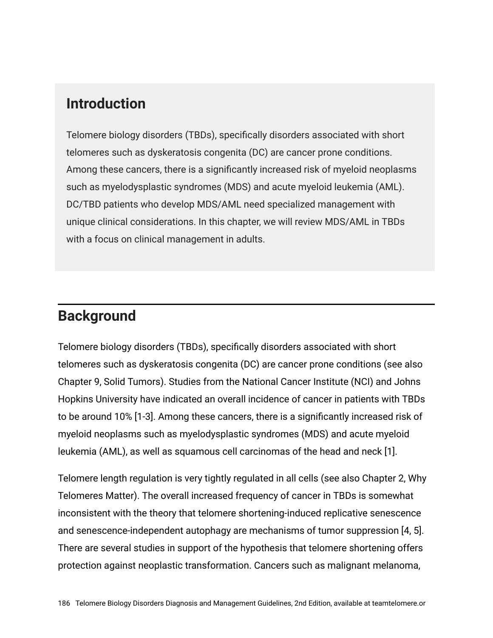#### **Introduction**

Telomere biology disorders (TBDs), specifically disorders associated with short telomeres such as dyskeratosis congenita (DC) are cancer prone conditions. Among these cancers, there is a significantly increased risk of myeloid neoplasms such as myelodysplastic syndromes (MDS) and acute myeloid leukemia (AML). DC/TBD patients who develop MDS/AML need specialized management with unique clinical considerations. In this chapter, we will review MDS/AML in TBDs with a focus on clinical management in adults.

#### **Background**

Telomere biology disorders (TBDs), specifically disorders associated with short telomeres such as dyskeratosis congenita (DC) are cancer prone conditions (see also Chapter 9, Solid Tumors). Studies from the National Cancer Institute (NCI) and Johns Hopkins University have indicated an overall incidence of cancer in patients with TBDs to be around 10% [1-3]. Among these cancers, there is a significantly increased risk of myeloid neoplasms such as myelodysplastic syndromes (MDS) and acute myeloid leukemia (AML), as well as squamous cell carcinomas of the head and neck [1].

Telomere length regulation is very tightly regulated in all cells (see also Chapter 2, Why Telomeres Matter). The overall increased frequency of cancer in TBDs is somewhat inconsistent with the theory that telomere shortening-induced replicative senescence and senescence-independent autophagy are mechanisms of tumor suppression [4, 5]. There are several studies in support of the hypothesis that telomere shortening offers protection against neoplastic transformation. Cancers such as malignant melanoma,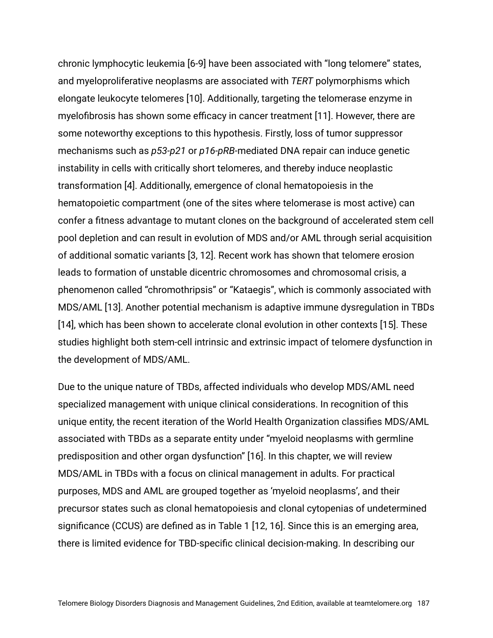chronic lymphocytic leukemia [6-9] have been associated with "long telomere" states, and myeloproliferative neoplasms are associated with *TERT* polymorphisms which elongate leukocyte telomeres [10]. Additionally, targeting the telomerase enzyme in myelofibrosis has shown some efficacy in cancer treatment [11]. However, there are some noteworthy exceptions to this hypothesis. Firstly, loss of tumor suppressor mechanisms such as *p53-p21* or *p16-pRB-*mediated DNA repair can induce genetic instability in cells with critically short telomeres, and thereby induce neoplastic transformation [4]. Additionally, emergence of clonal hematopoiesis in the hematopoietic compartment (one of the sites where telomerase is most active) can confer a fitness advantage to mutant clones on the background of accelerated stem cell pool depletion and can result in evolution of MDS and/or AML through serial acquisition of additional somatic variants [3, 12]. Recent work has shown that telomere erosion leads to formation of unstable dicentric chromosomes and chromosomal crisis, a phenomenon called "chromothripsis" or "Kataegis", which is commonly associated with MDS/AML [13]. Another potential mechanism is adaptive immune dysregulation in TBDs [14], which has been shown to accelerate clonal evolution in other contexts [15]. These studies highlight both stem-cell intrinsic and extrinsic impact of telomere dysfunction in the development of MDS/AML.

Due to the unique nature of TBDs, affected individuals who develop MDS/AML need specialized management with unique clinical considerations. In recognition of this unique entity, the recent iteration of the World Health Organization classifies MDS/AML associated with TBDs as a separate entity under "myeloid neoplasms with germline predisposition and other organ dysfunction" [16]. In this chapter, we will review MDS/AML in TBDs with a focus on clinical management in adults. For practical purposes, MDS and AML are grouped together as 'myeloid neoplasms', and their precursor states such as clonal hematopoiesis and clonal cytopenias of undetermined significance (CCUS) are defined as in Table 1 [12, 16]. Since this is an emerging area, there is limited evidence for TBD-specific clinical decision-making. In describing our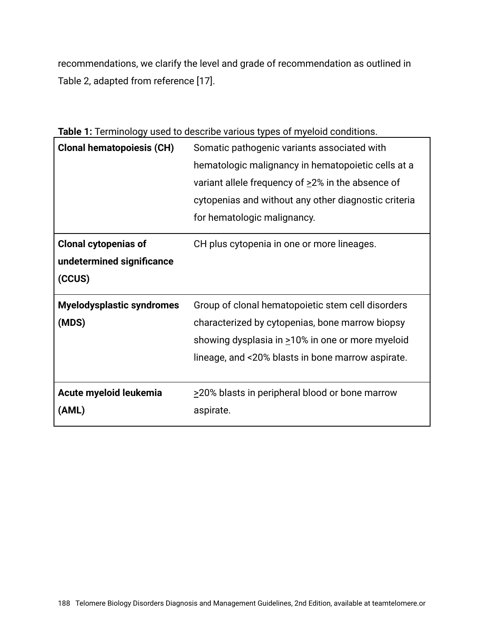recommendations, we clarify the level and grade of recommendation as outlined in Table 2, adapted from reference [17].

| <b>Clonal hematopoiesis (CH)</b>                                   | Somatic pathogenic variants associated with<br>hematologic malignancy in hematopoietic cells at a<br>variant allele frequency of $\geq$ 2% in the absence of<br>cytopenias and without any other diagnostic criteria<br>for hematologic malignancy. |
|--------------------------------------------------------------------|-----------------------------------------------------------------------------------------------------------------------------------------------------------------------------------------------------------------------------------------------------|
| <b>Clonal cytopenias of</b><br>undetermined significance<br>(CCUS) | CH plus cytopenia in one or more lineages.                                                                                                                                                                                                          |
| <b>Myelodysplastic syndromes</b><br>(MDS)                          | Group of clonal hematopoietic stem cell disorders<br>characterized by cytopenias, bone marrow biopsy<br>showing dysplasia in >10% in one or more myeloid<br>lineage, and <20% blasts in bone marrow aspirate.                                       |
| Acute myeloid leukemia<br>(AML)                                    | >20% blasts in peripheral blood or bone marrow<br>aspirate.                                                                                                                                                                                         |

**Table 1:** Terminology used to describe various types of myeloid conditions.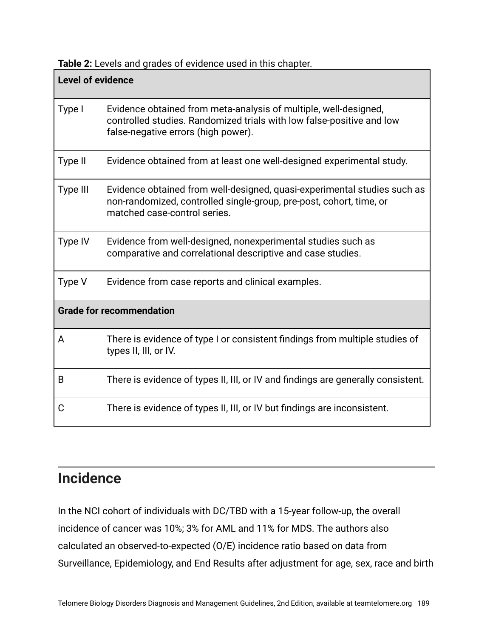**Table 2:** Levels and grades of evidence used in this chapter.

| <b>Level of evidence</b>        |                                                                                                                                                                                  |
|---------------------------------|----------------------------------------------------------------------------------------------------------------------------------------------------------------------------------|
| Type I                          | Evidence obtained from meta-analysis of multiple, well-designed,<br>controlled studies. Randomized trials with low false-positive and low<br>false-negative errors (high power). |
| Type II                         | Evidence obtained from at least one well-designed experimental study.                                                                                                            |
| Type III                        | Evidence obtained from well-designed, quasi-experimental studies such as<br>non-randomized, controlled single-group, pre-post, cohort, time, or<br>matched case-control series.  |
| Type IV                         | Evidence from well-designed, nonexperimental studies such as<br>comparative and correlational descriptive and case studies.                                                      |
| Type V                          | Evidence from case reports and clinical examples.                                                                                                                                |
| <b>Grade for recommendation</b> |                                                                                                                                                                                  |
| A                               | There is evidence of type I or consistent findings from multiple studies of<br>types II, III, or IV.                                                                             |
| B                               | There is evidence of types II, III, or IV and findings are generally consistent.                                                                                                 |
| С                               | There is evidence of types II, III, or IV but findings are inconsistent.                                                                                                         |

## **Incidence**

In the NCI cohort of individuals with DC/TBD with a 15-year follow-up, the overall incidence of cancer was 10%; 3% for AML and 11% for MDS. The authors also calculated an observed-to-expected (O/E) incidence ratio based on data from Surveillance, Epidemiology, and End Results after adjustment for age, sex, race and birth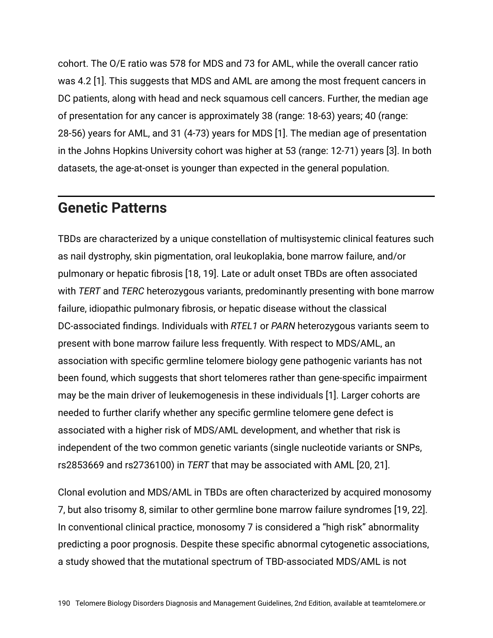cohort. The O/E ratio was 578 for MDS and 73 for AML, while the overall cancer ratio was 4.2 [1]. This suggests that MDS and AML are among the most frequent cancers in DC patients, along with head and neck squamous cell cancers. Further, the median age of presentation for any cancer is approximately 38 (range: 18-63) years; 40 (range: 28-56) years for AML, and 31 (4-73) years for MDS [1]. The median age of presentation in the Johns Hopkins University cohort was higher at 53 (range: 12-71) years [3]. In both datasets, the age-at-onset is younger than expected in the general population.

#### **Genetic Patterns**

TBDs are characterized by a unique constellation of multisystemic clinical features such as nail dystrophy, skin pigmentation, oral leukoplakia, bone marrow failure, and/or pulmonary or hepatic fibrosis [18, 19]. Late or adult onset TBDs are often associated with *TERT* and *TERC* heterozygous variants, predominantly presenting with bone marrow failure, idiopathic pulmonary fibrosis, or hepatic disease without the classical DC-associated findings. Individuals with *RTEL1* or *PARN* heterozygous variants seem to present with bone marrow failure less frequently. With respect to MDS/AML, an association with specific germline telomere biology gene pathogenic variants has not been found, which suggests that short telomeres rather than gene-specific impairment may be the main driver of leukemogenesis in these individuals [1]. Larger cohorts are needed to further clarify whether any specific germline telomere gene defect is associated with a higher risk of MDS/AML development, and whether that risk is independent of the two common genetic variants (single nucleotide variants or SNPs, rs2853669 and rs2736100) in *TERT* that may be associated with AML [20, 21].

Clonal evolution and MDS/AML in TBDs are often characterized by acquired monosomy 7, but also trisomy 8, similar to other germline bone marrow failure syndromes [19, 22]. In conventional clinical practice, monosomy 7 is considered a "high risk" abnormality predicting a poor prognosis. Despite these specific abnormal cytogenetic associations, a study showed that the mutational spectrum of TBD-associated MDS/AML is not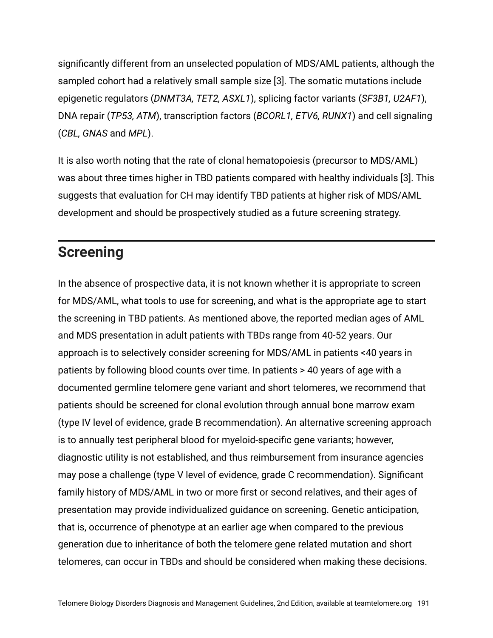significantly different from an unselected population of MDS/AML patients, although the sampled cohort had a relatively small sample size [3]. The somatic mutations include epigenetic regulators (*DNMT3A, TET2, ASXL1*), splicing factor variants (*SF3B1, U2AF1*), DNA repair (*TP53, ATM*), transcription factors (*BCORL1, ETV6, RUNX1*) and cell signaling (*CBL, GNAS* and *MPL*).

It is also worth noting that the rate of clonal hematopoiesis (precursor to MDS/AML) was about three times higher in TBD patients compared with healthy individuals [3]. This suggests that evaluation for CH may identify TBD patients at higher risk of MDS/AML development and should be prospectively studied as a future screening strategy.

## **Screening**

In the absence of prospective data, it is not known whether it is appropriate to screen for MDS/AML, what tools to use for screening, and what is the appropriate age to start the screening in TBD patients. As mentioned above, the reported median ages of AML and MDS presentation in adult patients with TBDs range from 40-52 years. Our approach is to selectively consider screening for MDS/AML in patients <40 years in patients by following blood counts over time. In patients > 40 years of age with a documented germline telomere gene variant and short telomeres, we recommend that patients should be screened for clonal evolution through annual bone marrow exam (type IV level of evidence, grade B recommendation). An alternative screening approach is to annually test peripheral blood for myeloid-specific gene variants; however, diagnostic utility is not established, and thus reimbursement from insurance agencies may pose a challenge (type V level of evidence, grade C recommendation). Significant family history of MDS/AML in two or more first or second relatives, and their ages of presentation may provide individualized guidance on screening. Genetic anticipation, that is, occurrence of phenotype at an earlier age when compared to the previous generation due to inheritance of both the telomere gene related mutation and short telomeres, can occur in TBDs and should be considered when making these decisions.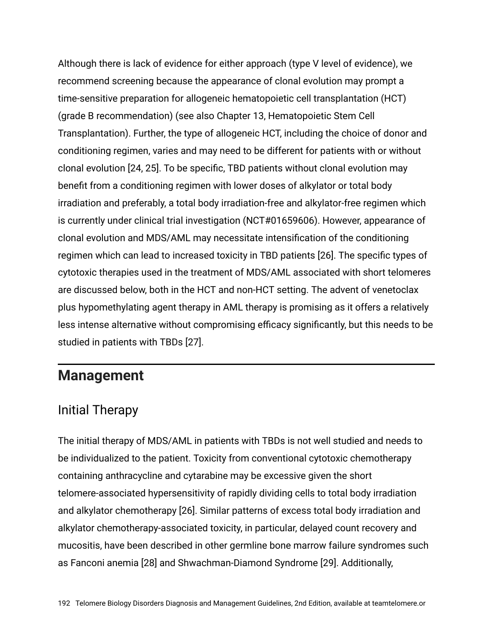Although there is lack of evidence for either approach (type V level of evidence), we recommend screening because the appearance of clonal evolution may prompt a time-sensitive preparation for allogeneic hematopoietic cell transplantation (HCT) (grade B recommendation) (see also Chapter 13, Hematopoietic Stem Cell Transplantation). Further, the type of allogeneic HCT, including the choice of donor and conditioning regimen, varies and may need to be different for patients with or without clonal evolution [24, 25]. To be specific, TBD patients without clonal evolution may benefit from a conditioning regimen with lower doses of alkylator or total body irradiation and preferably, a total body irradiation-free and alkylator-free regimen which is currently under clinical trial investigation (NCT#01659606). However, appearance of clonal evolution and MDS/AML may necessitate intensification of the conditioning regimen which can lead to increased toxicity in TBD patients [26]. The specific types of cytotoxic therapies used in the treatment of MDS/AML associated with short telomeres are discussed below, both in the HCT and non-HCT setting. The advent of venetoclax plus hypomethylating agent therapy in AML therapy is promising as it offers a relatively less intense alternative without compromising efficacy significantly, but this needs to be studied in patients with TBDs [27].

#### **Management**

#### Initial Therapy

The initial therapy of MDS/AML in patients with TBDs is not well studied and needs to be individualized to the patient. Toxicity from conventional cytotoxic chemotherapy containing anthracycline and cytarabine may be excessive given the short telomere-associated hypersensitivity of rapidly dividing cells to total body irradiation and alkylator chemotherapy [26]. Similar patterns of excess total body irradiation and alkylator chemotherapy-associated toxicity, in particular, delayed count recovery and mucositis, have been described in other germline bone marrow failure syndromes such as Fanconi anemia [28] and Shwachman-Diamond Syndrome [29]. Additionally,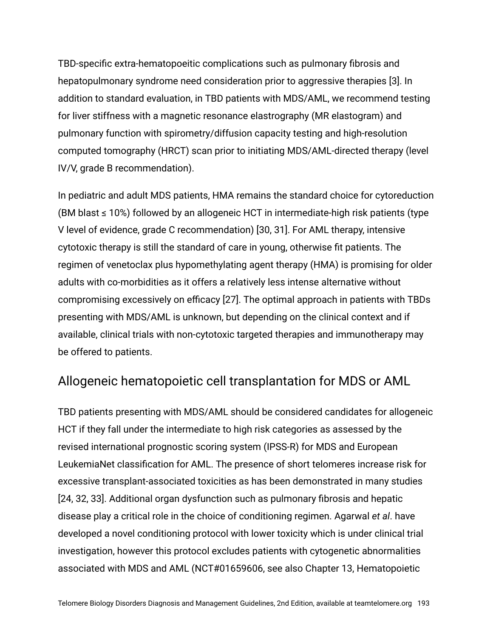TBD-specific extra-hematopoeitic complications such as pulmonary fibrosis and hepatopulmonary syndrome need consideration prior to aggressive therapies [3]. In addition to standard evaluation, in TBD patients with MDS/AML, we recommend testing for liver stiffness with a magnetic resonance elastrography (MR elastogram) and pulmonary function with spirometry/diffusion capacity testing and high-resolution computed tomography (HRCT) scan prior to initiating MDS/AML-directed therapy (level IV/V, grade B recommendation).

In pediatric and adult MDS patients, HMA remains the standard choice for cytoreduction (BM blast  $\leq$  10%) followed by an allogeneic HCT in intermediate-high risk patients (type V level of evidence, grade C recommendation) [30, 31]. For AML therapy, intensive cytotoxic therapy is still the standard of care in young, otherwise fit patients. The regimen of venetoclax plus hypomethylating agent therapy (HMA) is promising for older adults with co-morbidities as it offers a relatively less intense alternative without compromising excessively on efficacy [27]. The optimal approach in patients with TBDs presenting with MDS/AML is unknown, but depending on the clinical context and if available, clinical trials with non-cytotoxic targeted therapies and immunotherapy may be offered to patients.

#### Allogeneic hematopoietic cell transplantation for MDS or AML

TBD patients presenting with MDS/AML should be considered candidates for allogeneic HCT if they fall under the intermediate to high risk categories as assessed by the revised international prognostic scoring system (IPSS-R) for MDS and European LeukemiaNet classification for AML. The presence of short telomeres increase risk for excessive transplant-associated toxicities as has been demonstrated in many studies [24, 32, 33]. Additional organ dysfunction such as pulmonary fibrosis and hepatic disease play a critical role in the choice of conditioning regimen. Agarwal *et al*. have developed a novel conditioning protocol with lower toxicity which is under clinical trial investigation, however this protocol excludes patients with cytogenetic abnormalities associated with MDS and AML (NCT#01659606, see also Chapter 13, Hematopoietic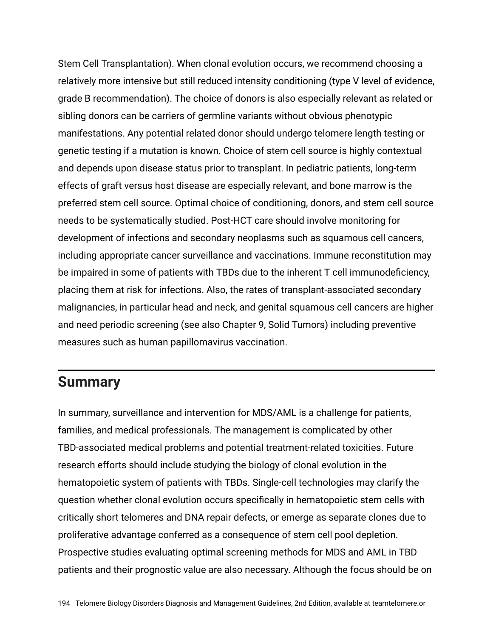Stem Cell Transplantation). When clonal evolution occurs, we recommend choosing a relatively more intensive but still reduced intensity conditioning (type V level of evidence, grade B recommendation). The choice of donors is also especially relevant as related or sibling donors can be carriers of germline variants without obvious phenotypic manifestations. Any potential related donor should undergo telomere length testing or genetic testing if a mutation is known. Choice of stem cell source is highly contextual and depends upon disease status prior to transplant. In pediatric patients, long-term effects of graft versus host disease are especially relevant, and bone marrow is the preferred stem cell source. Optimal choice of conditioning, donors, and stem cell source needs to be systematically studied. Post-HCT care should involve monitoring for development of infections and secondary neoplasms such as squamous cell cancers, including appropriate cancer surveillance and vaccinations. Immune reconstitution may be impaired in some of patients with TBDs due to the inherent T cell immunodeficiency, placing them at risk for infections. Also, the rates of transplant-associated secondary malignancies, in particular head and neck, and genital squamous cell cancers are higher and need periodic screening (see also Chapter 9, Solid Tumors) including preventive measures such as human papillomavirus vaccination.

#### **Summary**

In summary, surveillance and intervention for MDS/AML is a challenge for patients, families, and medical professionals. The management is complicated by other TBD-associated medical problems and potential treatment-related toxicities. Future research efforts should include studying the biology of clonal evolution in the hematopoietic system of patients with TBDs. Single-cell technologies may clarify the question whether clonal evolution occurs specifically in hematopoietic stem cells with critically short telomeres and DNA repair defects, or emerge as separate clones due to proliferative advantage conferred as a consequence of stem cell pool depletion. Prospective studies evaluating optimal screening methods for MDS and AML in TBD patients and their prognostic value are also necessary. Although the focus should be on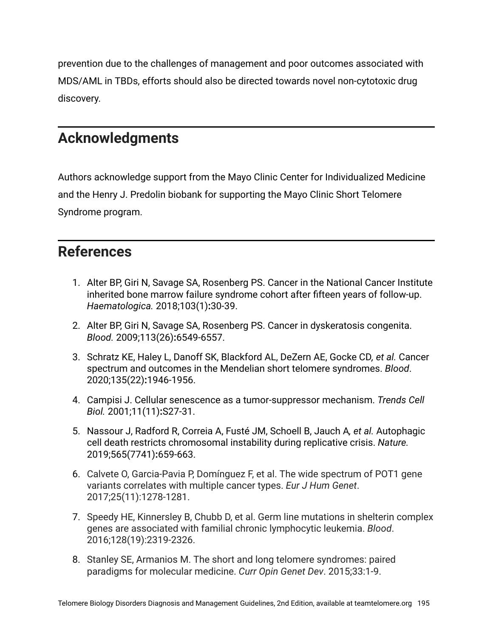prevention due to the challenges of management and poor outcomes associated with MDS/AML in TBDs, efforts should also be directed towards novel non-cytotoxic drug discovery.

#### **Acknowledgments**

Authors acknowledge support from the Mayo Clinic Center for Individualized Medicine and the Henry J. Predolin biobank for supporting the Mayo Clinic Short Telomere Syndrome program.

#### **References**

- 1. Alter BP, Giri N, Savage SA, Rosenberg PS. Cancer in the National Cancer Institute inherited bone marrow failure syndrome cohort after fifteen years of follow-up. *Haematologica.* 2018;103(1)**:**30-39.
- 2. Alter BP, Giri N, Savage SA, Rosenberg PS. Cancer in dyskeratosis congenita. *Blood.* 2009;113(26)**:**6549-6557.
- 3. Schratz KE, Haley L, Danoff SK, Blackford AL, DeZern AE, Gocke CD*, et al.* Cancer spectrum and outcomes in the Mendelian short telomere syndromes. *Blood*. 2020;135(22)**:**1946-1956.
- 4. Campisi J. Cellular senescence as a tumor-suppressor mechanism. *Trends Cell Biol.* 2001;11(11)**:**S27-31.
- 5. Nassour J, Radford R, Correia A, Fusté JM, Schoell B, Jauch A*, et al.* Autophagic cell death restricts chromosomal instability during replicative crisis. *Nature.* 2019;565(7741)**:**659-663.
- 6. Calvete O, Garcia-Pavia P, Domínguez F, et al. The wide spectrum of POT1 gene variants correlates with multiple cancer types. *Eur J Hum Genet*. 2017;25(11):1278-1281.
- 7. Speedy HE, Kinnersley B, Chubb D, et al. Germ line mutations in shelterin complex genes are associated with familial chronic lymphocytic leukemia. *Blood*. 2016;128(19):2319-2326.
- 8. Stanley SE, Armanios M. The short and long telomere syndromes: paired paradigms for molecular medicine. *Curr Opin Genet Dev*. 2015;33:1-9.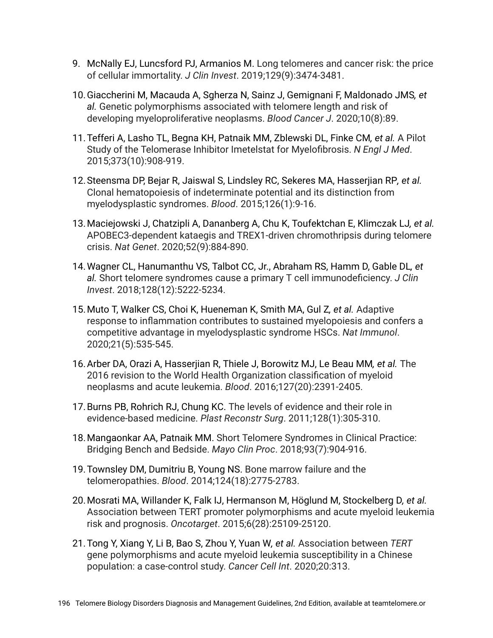- 9. McNally EJ, Luncsford PJ, Armanios M. Long telomeres and cancer risk: the price of cellular immortality. *J Clin Invest*. 2019;129(9):3474-3481.
- 10.Giaccherini M, Macauda A, Sgherza N, Sainz J, Gemignani F, Maldonado JMS*, et al.* Genetic polymorphisms associated with telomere length and risk of developing myeloproliferative neoplasms. *Blood Cancer J*. 2020;10(8):89.
- 11.Tefferi A, Lasho TL, Begna KH, Patnaik MM, Zblewski DL, Finke CM*, et al.* A Pilot Study of the Telomerase Inhibitor Imetelstat for Myelofibrosis. *N Engl J Med*. 2015;373(10):908-919.
- 12.Steensma DP, Bejar R, Jaiswal S, Lindsley RC, Sekeres MA, Hasserjian RP*, et al.* Clonal hematopoiesis of indeterminate potential and its distinction from myelodysplastic syndromes. *Blood*. 2015;126(1):9-16.
- 13.Maciejowski J, Chatzipli A, Dananberg A, Chu K, Toufektchan E, Klimczak LJ*, et al.* APOBEC3-dependent kataegis and TREX1-driven chromothripsis during telomere crisis. *Nat Genet*. 2020;52(9):884-890.
- 14.Wagner CL, Hanumanthu VS, Talbot CC, Jr., Abraham RS, Hamm D, Gable DL*, et al.* Short telomere syndromes cause a primary T cell immunodeficiency. *J Clin Invest*. 2018;128(12):5222-5234.
- 15.Muto T, Walker CS, Choi K, Hueneman K, Smith MA, Gul Z*, et al.* Adaptive response to inflammation contributes to sustained myelopoiesis and confers a competitive advantage in myelodysplastic syndrome HSCs. *Nat Immunol*. 2020;21(5):535-545.
- 16.Arber DA, Orazi A, Hasserjian R, Thiele J, Borowitz MJ, Le Beau MM*, et al.* The 2016 revision to the World Health Organization classification of myeloid neoplasms and acute leukemia. *Blood*. 2016;127(20):2391-2405.
- 17.Burns PB, Rohrich RJ, Chung KC. The levels of evidence and their role in evidence-based medicine. *Plast Reconstr Surg*. 2011;128(1):305-310.
- 18.Mangaonkar AA, Patnaik MM. Short Telomere Syndromes in Clinical Practice: Bridging Bench and Bedside. *Mayo Clin Proc*. 2018;93(7):904-916.
- 19.Townsley DM, Dumitriu B, Young NS. Bone marrow failure and the telomeropathies. *Blood*. 2014;124(18):2775-2783.
- 20.Mosrati MA, Willander K, Falk IJ, Hermanson M, Höglund M, Stockelberg D*, et al.* Association between TERT promoter polymorphisms and acute myeloid leukemia risk and prognosis. *Oncotarget*. 2015;6(28):25109-25120.
- 21.Tong Y, Xiang Y, Li B, Bao S, Zhou Y, Yuan W*, et al.* Association between *TERT* gene polymorphisms and acute myeloid leukemia susceptibility in a Chinese population: a case-control study. *Cancer Cell Int*. 2020;20:313.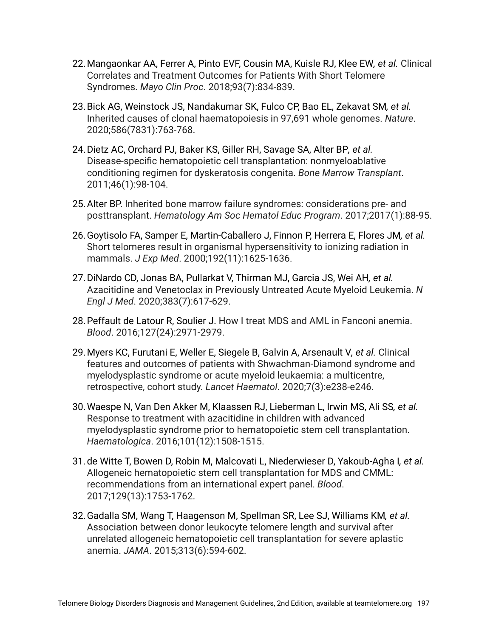- 22.Mangaonkar AA, Ferrer A, Pinto EVF, Cousin MA, Kuisle RJ, Klee EW*, et al.* Clinical Correlates and Treatment Outcomes for Patients With Short Telomere Syndromes. *Mayo Clin Proc*. 2018;93(7):834-839.
- 23.Bick AG, Weinstock JS, Nandakumar SK, Fulco CP, Bao EL, Zekavat SM*, et al.* Inherited causes of clonal haematopoiesis in 97,691 whole genomes. *Nature*. 2020;586(7831):763-768.
- 24.Dietz AC, Orchard PJ, Baker KS, Giller RH, Savage SA, Alter BP*, et al.* Disease-specific hematopoietic cell transplantation: nonmyeloablative conditioning regimen for dyskeratosis congenita. *Bone Marrow Transplant*. 2011;46(1):98-104.
- 25.Alter BP. Inherited bone marrow failure syndromes: considerations pre- and posttransplant. *Hematology Am Soc Hematol Educ Program*. 2017;2017(1):88-95.
- 26.Goytisolo FA, Samper E, Martin-Caballero J, Finnon P, Herrera E, Flores JM*, et al.* Short telomeres result in organismal hypersensitivity to ionizing radiation in mammals. *J Exp Med*. 2000;192(11):1625-1636.
- 27.DiNardo CD, Jonas BA, Pullarkat V, Thirman MJ, Garcia JS, Wei AH*, et al.* Azacitidine and Venetoclax in Previously Untreated Acute Myeloid Leukemia. *N Engl J Med*. 2020;383(7):617-629.
- 28.Peffault de Latour R, Soulier J. How I treat MDS and AML in Fanconi anemia. *Blood*. 2016;127(24):2971-2979.
- 29.Myers KC, Furutani E, Weller E, Siegele B, Galvin A, Arsenault V*, et al.* Clinical features and outcomes of patients with Shwachman-Diamond syndrome and myelodysplastic syndrome or acute myeloid leukaemia: a multicentre, retrospective, cohort study. *Lancet Haematol*. 2020;7(3):e238-e246.
- 30.Waespe N, Van Den Akker M, Klaassen RJ, Lieberman L, Irwin MS, Ali SS*, et al.* Response to treatment with azacitidine in children with advanced myelodysplastic syndrome prior to hematopoietic stem cell transplantation. *Haematologica*. 2016;101(12):1508-1515.
- 31.de Witte T, Bowen D, Robin M, Malcovati L, Niederwieser D, Yakoub-Agha I*, et al.* Allogeneic hematopoietic stem cell transplantation for MDS and CMML: recommendations from an international expert panel. *Blood*. 2017;129(13):1753-1762.
- 32.Gadalla SM, Wang T, Haagenson M, Spellman SR, Lee SJ, Williams KM*, et al.* Association between donor leukocyte telomere length and survival after unrelated allogeneic hematopoietic cell transplantation for severe aplastic anemia. *JAMA*. 2015;313(6):594-602.